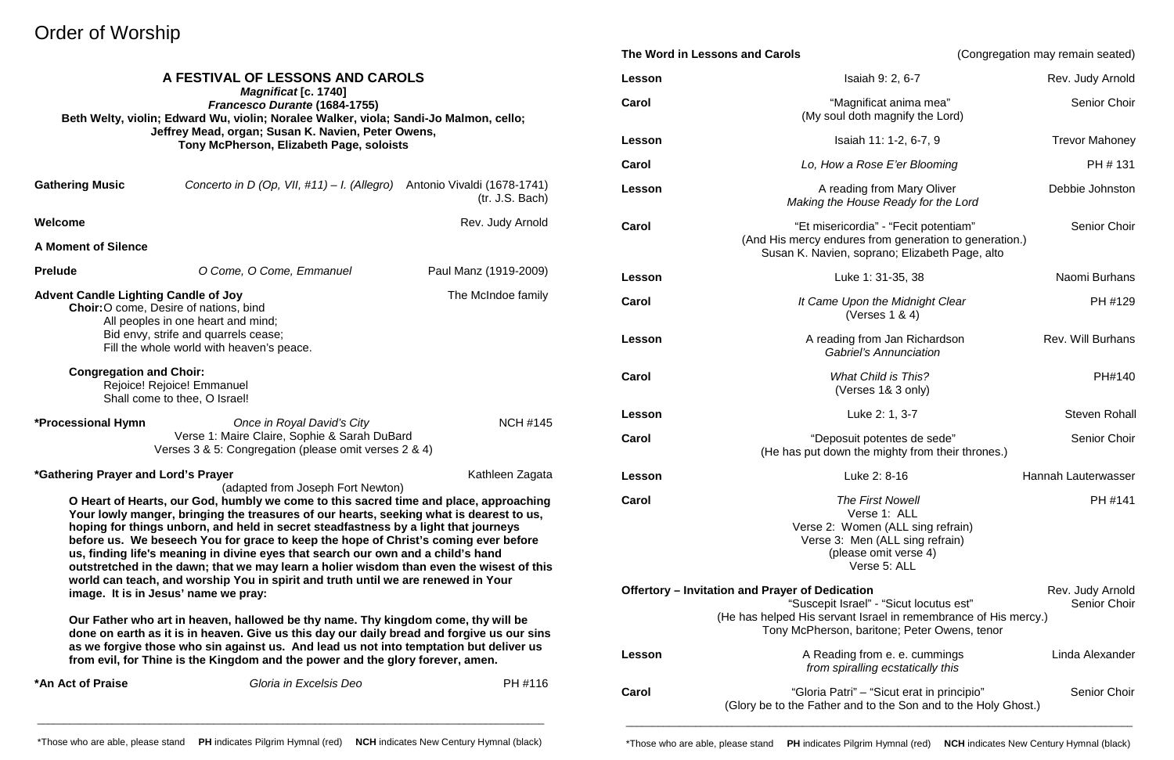# Order of Worship

|                                                                                                                                                                                                                                                                                                                                                                                                                                                                                                                                                                                                                                                                                                                                                                                                                                                                                                                                                                                                                                                                                 |                                                 |                                                |                                                                | The Word in Lessons and Carols                                                                                                                                | (Congregation may remain seated) |  |
|---------------------------------------------------------------------------------------------------------------------------------------------------------------------------------------------------------------------------------------------------------------------------------------------------------------------------------------------------------------------------------------------------------------------------------------------------------------------------------------------------------------------------------------------------------------------------------------------------------------------------------------------------------------------------------------------------------------------------------------------------------------------------------------------------------------------------------------------------------------------------------------------------------------------------------------------------------------------------------------------------------------------------------------------------------------------------------|-------------------------------------------------|------------------------------------------------|----------------------------------------------------------------|---------------------------------------------------------------------------------------------------------------------------------------------------------------|----------------------------------|--|
| A FESTIVAL OF LESSONS AND CAROLS<br><b>Magnificat [c. 1740]</b><br>Francesco Durante (1684-1755)<br>Beth Welty, violin; Edward Wu, violin; Noralee Walker, viola; Sandi-Jo Malmon, cello;<br>Jeffrey Mead, organ; Susan K. Navien, Peter Owens,<br>Tony McPherson, Elizabeth Page, soloists                                                                                                                                                                                                                                                                                                                                                                                                                                                                                                                                                                                                                                                                                                                                                                                     |                                                 |                                                | Lesson                                                         | Isaiah 9: 2, 6-7                                                                                                                                              | Rev. Judy Arnold                 |  |
|                                                                                                                                                                                                                                                                                                                                                                                                                                                                                                                                                                                                                                                                                                                                                                                                                                                                                                                                                                                                                                                                                 |                                                 |                                                | Carol                                                          | "Magnificat anima mea"<br>(My soul doth magnify the Lord)                                                                                                     | Senior Choir                     |  |
|                                                                                                                                                                                                                                                                                                                                                                                                                                                                                                                                                                                                                                                                                                                                                                                                                                                                                                                                                                                                                                                                                 |                                                 |                                                | Lesson                                                         | Isaiah 11: 1-2, 6-7, 9                                                                                                                                        | <b>Trevor Mahoney</b>            |  |
|                                                                                                                                                                                                                                                                                                                                                                                                                                                                                                                                                                                                                                                                                                                                                                                                                                                                                                                                                                                                                                                                                 |                                                 |                                                | Carol                                                          | Lo, How a Rose E'er Blooming                                                                                                                                  | PH # 131                         |  |
| <b>Gathering Music</b>                                                                                                                                                                                                                                                                                                                                                                                                                                                                                                                                                                                                                                                                                                                                                                                                                                                                                                                                                                                                                                                          | Concerto in D (Op, VII, $\#11$ ) - I. (Allegro) | Antonio Vivaldi (1678-1741)<br>(tr. J.S. Bach) | Lesson                                                         | A reading from Mary Oliver<br>Making the House Ready for the Lord                                                                                             | Debbie Johnston                  |  |
| Welcome<br><b>A Moment of Silence</b>                                                                                                                                                                                                                                                                                                                                                                                                                                                                                                                                                                                                                                                                                                                                                                                                                                                                                                                                                                                                                                           |                                                 | Rev. Judy Arnold                               | Carol                                                          | "Et misericordia" - "Fecit potentiam"<br>(And His mercy endures from generation to generation.)<br>Susan K. Navien, soprano; Elizabeth Page, alto             | Senior Choir                     |  |
| <b>Prelude</b>                                                                                                                                                                                                                                                                                                                                                                                                                                                                                                                                                                                                                                                                                                                                                                                                                                                                                                                                                                                                                                                                  | O Come, O Come, Emmanuel                        | Paul Manz (1919-2009)                          | Lesson                                                         | Luke 1: 31-35, 38                                                                                                                                             | Naomi Burhans                    |  |
| <b>Advent Candle Lighting Candle of Joy</b><br>The McIndoe family<br>Choir: O come, Desire of nations, bind<br>All peoples in one heart and mind;<br>Bid envy, strife and quarrels cease;<br>Fill the whole world with heaven's peace.                                                                                                                                                                                                                                                                                                                                                                                                                                                                                                                                                                                                                                                                                                                                                                                                                                          |                                                 | Carol                                          | It Came Upon the Midnight Clear<br>(Verses $1 & 4$ )           | PH #129                                                                                                                                                       |                                  |  |
|                                                                                                                                                                                                                                                                                                                                                                                                                                                                                                                                                                                                                                                                                                                                                                                                                                                                                                                                                                                                                                                                                 |                                                 | Lesson                                         | A reading from Jan Richardson<br><b>Gabriel's Annunciation</b> | <b>Rev. Will Burhans</b>                                                                                                                                      |                                  |  |
| <b>Congregation and Choir:</b><br>Rejoice! Rejoice! Emmanuel<br>Shall come to thee, O Israel!                                                                                                                                                                                                                                                                                                                                                                                                                                                                                                                                                                                                                                                                                                                                                                                                                                                                                                                                                                                   |                                                 |                                                | Carol                                                          | <b>What Child is This?</b><br>(Verses 1& 3 only)                                                                                                              | PH#140                           |  |
| *Processional Hymn                                                                                                                                                                                                                                                                                                                                                                                                                                                                                                                                                                                                                                                                                                                                                                                                                                                                                                                                                                                                                                                              | Once in Royal David's City                      | <b>NCH #145</b>                                | Lesson                                                         | Luke 2: 1, 3-7                                                                                                                                                | <b>Steven Rohall</b>             |  |
| Verse 1: Maire Claire, Sophie & Sarah DuBard<br>Verses 3 & 5: Congregation (please omit verses 2 & 4)                                                                                                                                                                                                                                                                                                                                                                                                                                                                                                                                                                                                                                                                                                                                                                                                                                                                                                                                                                           |                                                 |                                                | Carol                                                          | "Deposuit potentes de sede"<br>(He has put down the mighty from their thrones.)                                                                               | Senior Choir                     |  |
| Kathleen Zagata<br><i>*Gathering Prayer and Lord's Prayer</i>                                                                                                                                                                                                                                                                                                                                                                                                                                                                                                                                                                                                                                                                                                                                                                                                                                                                                                                                                                                                                   |                                                 |                                                | Lesson                                                         | Luke 2: 8-16                                                                                                                                                  | Hannah Lauterwasser              |  |
| (adapted from Joseph Fort Newton)<br>O Heart of Hearts, our God, humbly we come to this sacred time and place, approaching<br>Your lowly manger, bringing the treasures of our hearts, seeking what is dearest to us,<br>hoping for things unborn, and held in secret steadfastness by a light that journeys<br>before us. We beseech You for grace to keep the hope of Christ's coming ever before<br>us, finding life's meaning in divine eyes that search our own and a child's hand<br>outstretched in the dawn; that we may learn a holier wisdom than even the wisest of this<br>world can teach, and worship You in spirit and truth until we are renewed in Your<br>image. It is in Jesus' name we pray:<br>Our Father who art in heaven, hallowed be thy name. Thy kingdom come, thy will be<br>done on earth as it is in heaven. Give us this day our daily bread and forgive us our sins<br>as we forgive those who sin against us. And lead us not into temptation but deliver us<br>from evil, for Thine is the Kingdom and the power and the glory forever, amen. |                                                 |                                                | Carol                                                          | <b>The First Nowell</b><br>Verse 1: ALL<br>Verse 2: Women (ALL sing refrain)<br>Verse 3: Men (ALL sing refrain)<br>(please omit verse 4)<br>Verse 5: ALL      | PH #141                          |  |
|                                                                                                                                                                                                                                                                                                                                                                                                                                                                                                                                                                                                                                                                                                                                                                                                                                                                                                                                                                                                                                                                                 |                                                 |                                                |                                                                | Offertory - Invitation and Prayer of Dedication<br>"Suscepit Israel" - "Sicut locutus est"<br>(He has helped His servant Israel in remembrance of His mercy.) | Rev. Judy Arnold<br>Senior Choir |  |
|                                                                                                                                                                                                                                                                                                                                                                                                                                                                                                                                                                                                                                                                                                                                                                                                                                                                                                                                                                                                                                                                                 |                                                 |                                                | Lesson                                                         | Tony McPherson, baritone; Peter Owens, tenor<br>A Reading from e. e. cummings<br>from spiralling ecstatically this                                            | Linda Alexander                  |  |
| *An Act of Praise                                                                                                                                                                                                                                                                                                                                                                                                                                                                                                                                                                                                                                                                                                                                                                                                                                                                                                                                                                                                                                                               | Gloria in Excelsis Deo                          | PH #116                                        | Carol                                                          | "Gloria Patri" - "Sicut erat in principio"<br>(Glory be to the Father and to the Son and to the Holy Ghost.)                                                  | Senior Choir                     |  |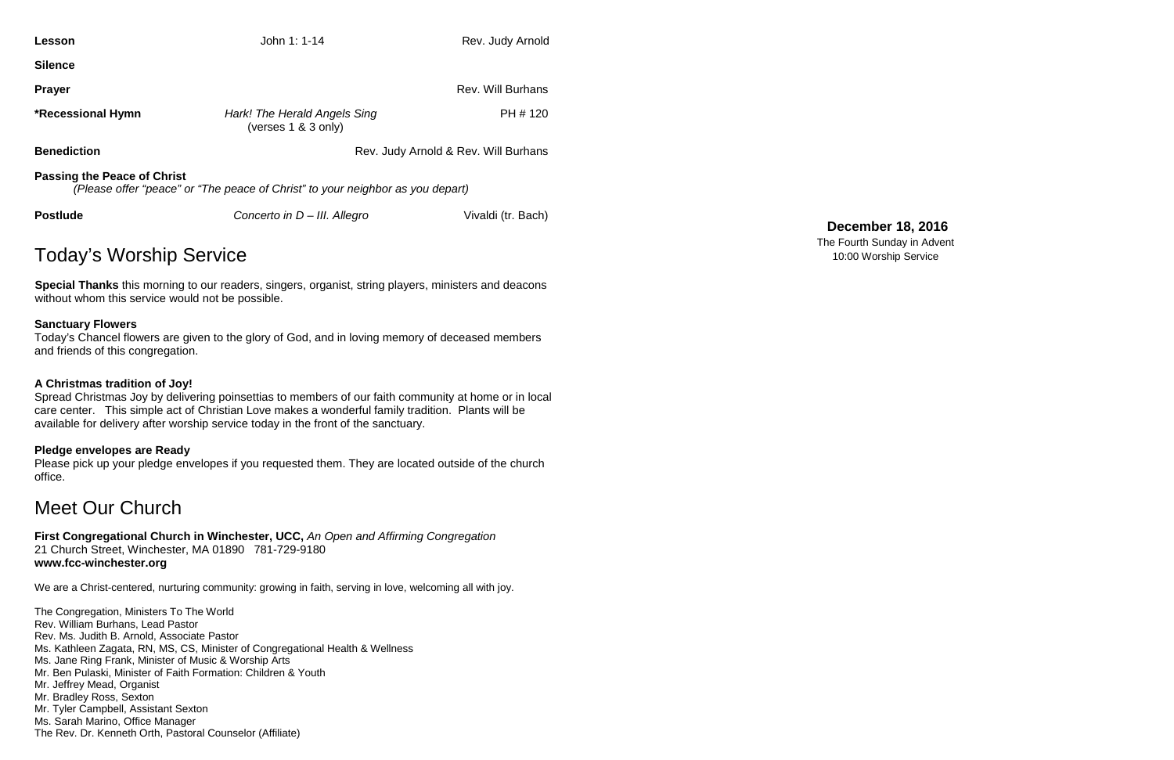| Lesson                                                                                                               | John 1: 1-14                                        | Rev. Judy Arnold         |  |  |  |
|----------------------------------------------------------------------------------------------------------------------|-----------------------------------------------------|--------------------------|--|--|--|
| <b>Silence</b>                                                                                                       |                                                     |                          |  |  |  |
| <b>Prayer</b>                                                                                                        |                                                     | <b>Rev. Will Burhans</b> |  |  |  |
| <b>*Recessional Hymn</b>                                                                                             | Hark! The Herald Angels Sing<br>(verses 1 & 3 only) | PH # 120                 |  |  |  |
| <b>Benediction</b>                                                                                                   | Rev. Judy Arnold & Rev. Will Burhans                |                          |  |  |  |
| <b>Passing the Peace of Christ</b><br>(Please offer "peace" or "The peace of Christ" to your neighbor as you depart) |                                                     |                          |  |  |  |
| <b>Postlude</b>                                                                                                      | Concerto in D - III. Allegro                        |                          |  |  |  |

# Today's Worship Service

**Special Thanks** this morning to our readers, singers, organist, string players, ministers and deacons without whom this service would not be possible.

# **Sanctuary Flowers**

Today's Chancel flowers are given to the glory of God, and in loving memory of deceased members and friends of this congregation.

# **A Christmas tradition of Joy!**

Spread Christmas Joy by delivering poinsettias to members of our faith community at home or in local care center. This simple act of Christian Love makes a wonderful family tradition. Plants will be available for delivery after worship service today in the front of the sanctuary.

# **Pledge envelopes are Ready**

Please pick up your pledge envelopes if you requested them. They are located outside of the church office.

# Meet Our Church

**First Congregational Church in Winchester, UCC,** *An Open and Affirming Congregation* 21 Church Street, Winchester, MA 01890 781-729-9180 **www.fcc-winchester.org**

We are a Christ-centered, nurturing community: growing in faith, serving in love, welcoming all with joy.

The Congregation, Ministers To The World Rev. William Burhans, Lead Pastor Rev. Ms. Judith B. Arnold, Associate Pastor Ms. Kathleen Zagata, RN, MS, CS, Minister of Congregational Health & Wellness Ms. Jane Ring Frank, Minister of Music & Worship Arts Mr. Ben Pulaski, Minister of Faith Formation: Children & Youth Mr. Jeffrey Mead, Organist Mr. Bradley Ross, Sexton Mr. Tyler Campbell, Assistant Sexton Ms. Sarah Marino, Office Manager The Rev. Dr. Kenneth Orth, Pastoral Counselor (Affiliate)

# **December 18, 2016**

The Fourth Sunday in Advent 10:00 Worship Service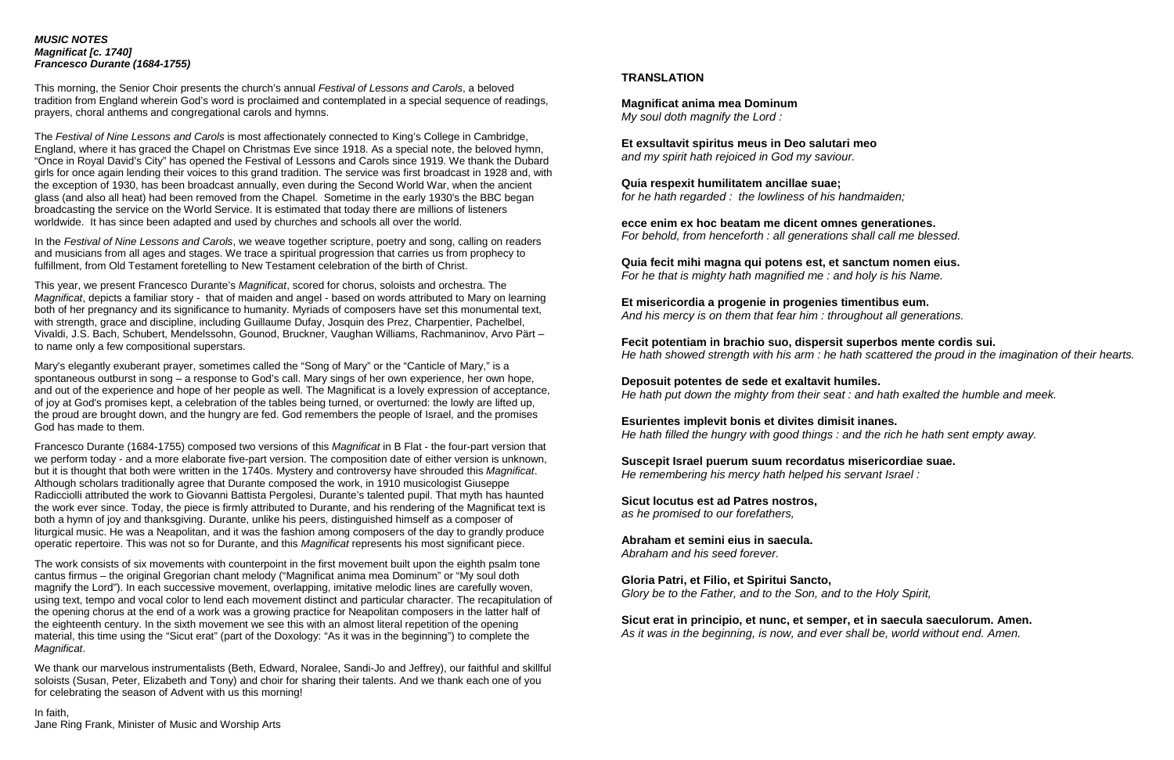### *MUSIC NOTES Magnificat [c. 1740] Francesco Durante (1684-1755)*

This morning, the Senior Choir presents the church's annual *Festival of Lessons and Carols*, a beloved tradition from England wherein God's word is proclaimed and contemplated in a special sequence of readings, prayers, choral anthems and congregational carols and hymns.

The *Festival of Nine Lessons and Carols* is most affectionately connected to King's College in Cambridge, England, where it has graced the Chapel on Christmas Eve since 1918. As a special note, the beloved hymn, "Once in Royal David's City" has opened the Festival of Lessons and Carols since 1919. We thank the Dubard girls for once again lending their voices to this grand tradition. The service was first broadcast in 1928 and, with the exception of 1930, has been broadcast annually, even during the Second World War, when the ancient glass (and also all heat) had been removed from the Chapel. Sometime in the early 1930's the BBC began broadcasting the service on the World Service. It is estimated that today there are millions of listeners worldwide. It has since been adapted and used by churches and schools all over the world.

In the *Festival of Nine Lessons and Carols*, we weave together scripture, poetry and song, calling on readers and musicians from all ages and stages. We trace a spiritual progression that carries us from prophecy to fulfillment, from Old Testament foretelling to New Testament celebration of the birth of Christ.

This year, we present Francesco Durante's *Magnificat*, scored for chorus, soloists and orchestra. The *Magnificat*, depicts a familiar story - that of maiden and angel - based on words attributed to Mary on learning both of her pregnancy and its significance to humanity. Myriads of composers have set this monumental text, with strength, grace and discipline, including Guillaume Dufay, Josquin des Prez, Charpentier, Pachelbel, Vivaldi, J.S. Bach, Schubert, Mendelssohn, Gounod, Bruckner, Vaughan Williams, Rachmaninov, Arvo Pärt – to name only a few compositional superstars.

Mary's elegantly exuberant prayer, sometimes called the "Song of Mary" or the "Canticle of Mary," is a spontaneous outburst in song – a response to God's call. Mary sings of her own experience, her own hope, and out of the experience and hope of her people as well. The Magnificat is a lovely expression of acceptance, of joy at God's promises kept, a celebration of the tables being turned, or overturned: the lowly are lifted up, the proud are brought down, and the hungry are fed. God remembers the people of Israel, and the promises God has made to them.

Francesco Durante (1684-1755) composed two versions of this *Magnificat* in B Flat - the four-part version that we perform today - and a more elaborate five-part version. The composition date of either version is unknown, but it is thought that both were written in the 1740s. Mystery and controversy have shrouded this *Magnificat*. Although scholars traditionally agree that Durante composed the work, in 1910 musicologist Giuseppe Radicciolli attributed the work to Giovanni Battista Pergolesi, Durante's talented pupil. That myth has haunted the work ever since. Today, the piece is firmly attributed to Durante, and his rendering of the Magnificat text is both a hymn of joy and thanksgiving. Durante, unlike his peers, distinguished himself as a composer of liturgical music. He was a Neapolitan, and it was the fashion among composers of the day to grandly produce operatic repertoire. This was not so for Durante, and this *Magnificat* represents his most significant piece.

The work consists of six movements with counterpoint in the first movement built upon the eighth psalm tone cantus firmus – the original Gregorian chant melody ("Magnificat anima mea Dominum" or "My soul doth magnify the Lord"). In each successive movement, overlapping, imitative melodic lines are carefully woven, using text, tempo and vocal color to lend each movement distinct and particular character. The recapitulation of the opening chorus at the end of a work was a growing practice for Neapolitan composers in the latter half of the eighteenth century. In the sixth movement we see this with an almost literal repetition of the opening material, this time using the "Sicut erat" (part of the Doxology: "As it was in the beginning") to complete the *Magnificat*.

We thank our marvelous instrumentalists (Beth, Edward, Noralee, Sandi-Jo and Jeffrey), our faithful and skillful soloists (Susan, Peter, Elizabeth and Tony) and choir for sharing their talents. And we thank each one of you for celebrating the season of Advent with us this morning!

In faith, Jane Ring Frank, Minister of Music and Worship Arts

# **TRANSLATION**

**Magnificat anima mea Dominum** *My soul doth magnify the Lord :*

**Et exsultavit spiritus meus in Deo salutari meo** *and my spirit hath rejoiced in God my saviour.*

**Quia respexit humilitatem ancillae suae;** *for he hath regarded : the lowliness of his handmaiden;*

**ecce enim ex hoc beatam me dicent omnes generationes.** *For behold, from henceforth : all generations shall call me blessed.*

**Quia fecit mihi magna qui potens est, et sanctum nomen eius.** *For he that is mighty hath magnified me : and holy is his Name.*

**Et misericordia a progenie in progenies timentibus eum.** *And his mercy is on them that fear him : throughout all generations.*

**Fecit potentiam in brachio suo, dispersit superbos mente cordis sui.** *He hath showed strength with his arm : he hath scattered the proud in the imagination of their hearts.*

**Deposuit potentes de sede et exaltavit humiles.** *He hath put down the mighty from their seat : and hath exalted the humble and meek.*

**Esurientes implevit bonis et divites dimisit inanes.** *He hath filled the hungry with good things : and the rich he hath sent empty away.*

**Suscepit Israel puerum suum recordatus misericordiae suae.** *He remembering his mercy hath helped his servant Israel :*

**Sicut locutus est ad Patres nostros,** *as he promised to our forefathers,*

**Abraham et semini eius in saecula.** *Abraham and his seed forever.*

**Gloria Patri, et Filio, et Spiritui Sancto,** *Glory be to the Father, and to the Son, and to the Holy Spirit,*

**Sicut erat in principio, et nunc, et semper, et in saecula saeculorum. Amen.** *As it was in the beginning, is now, and ever shall be, world without end. Amen.*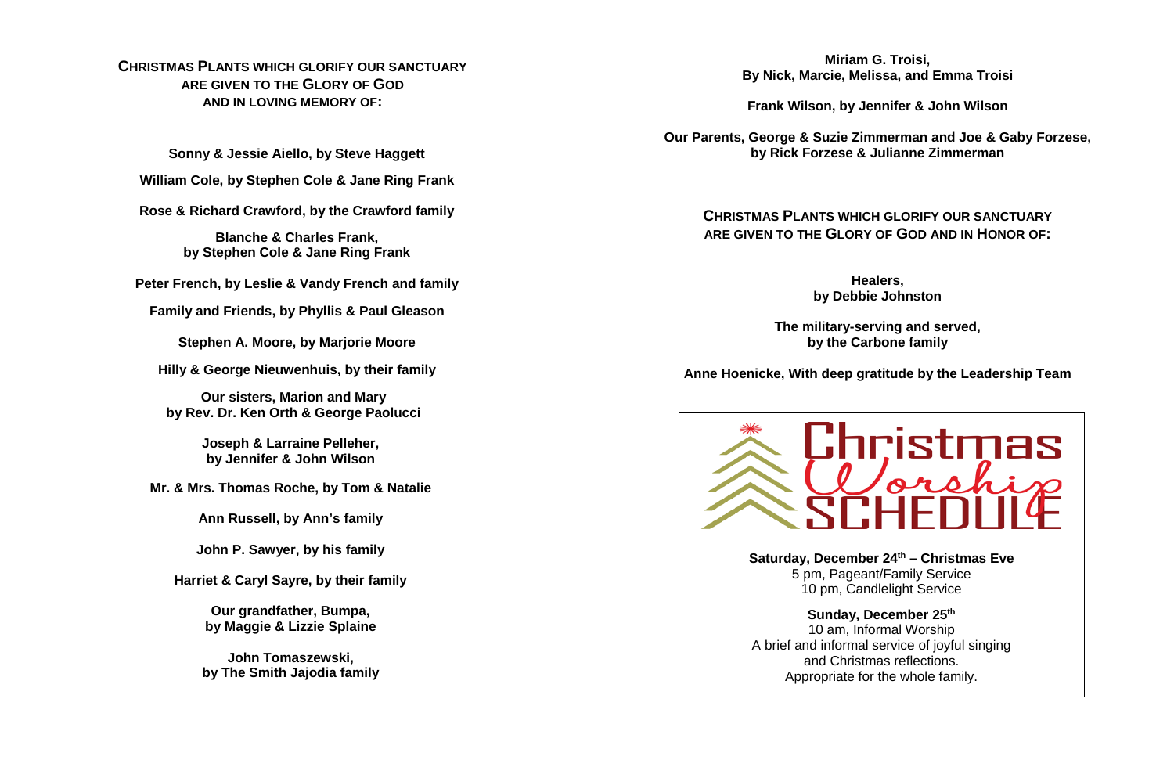# **CHRISTMAS PLANTS WHICH GLORIFY OUR SANCTUARY ARE GIVEN TO THE GLORY OF GOD AND IN LOVING MEMORY OF:**

**Sonny & Jessie Aiello, by Steve Haggett**

**William Cole, by Stephen Cole & Jane Ring Frank**

**Rose & Richard Crawford, by the Crawford family**

**Blanche & Charles Frank, by Stephen Cole & Jane Ring Frank**

**Peter French, by Leslie & Vandy French and family**

**Family and Friends, by Phyllis & Paul Gleason**

**Stephen A. Moore, by Marjorie Moore**

**Hilly & George Nieuwenhuis, by their family**

**Our sisters, Marion and Mary by Rev. Dr. Ken Orth & George Paolucci**

> **Joseph & Larraine Pelleher, by Jennifer & John Wilson**

**Mr. & Mrs. Thomas Roche, by Tom & Natalie**

**Ann Russell, by Ann's family**

**John P. Sawyer, by his family**

**Harriet & Caryl Sayre, by their family**

**Our grandfather, Bumpa, by Maggie & Lizzie Splaine**

**John Tomaszewski, by The Smith Jajodia family**

**Miriam G. Troisi, By Nick, Marcie, Melissa, and Emma Troisi**

**Frank Wilson, by Jennifer & John Wilson**

**Our Parents, George & Suzie Zimmerman and Joe & Gaby Forzese, by Rick Forzese & Julianne Zimmerman**

**CHRISTMAS PLANTS WHICH GLORIFY OUR SANCTUARY ARE GIVEN TO THE GLORY OF GOD AND IN HONOR OF:**

> **Healers, by Debbie Johnston**

**The military-serving and served, by the Carbone family**

**Anne Hoenicke, With deep gratitude by the Leadership Team**



A brief and informal service of joyful singing and Christmas reflections. Appropriate for the whole family.